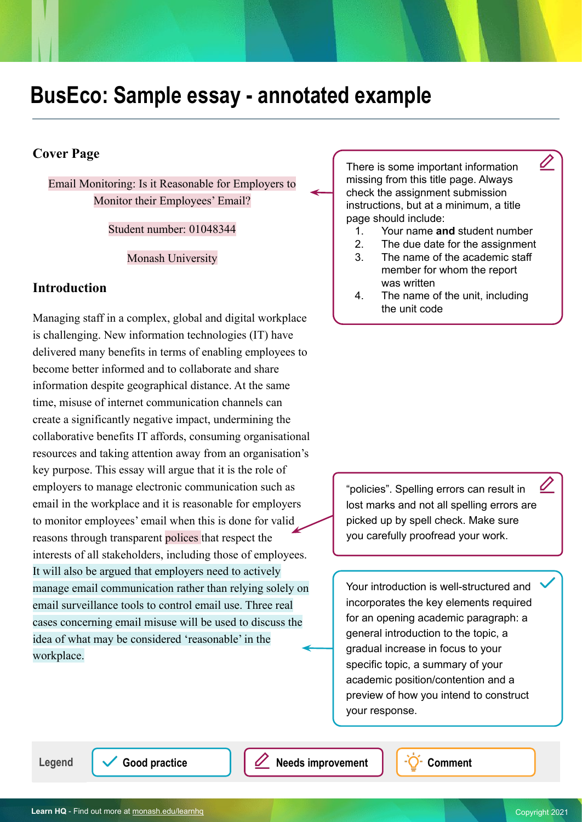# **BusEco: Sample essay - annotated example**

### **Cover Page**

Email Monitoring: Is it Reasonable for Employers to Monitor their Employees' Email?

Student number: 01048344

Monash University

### **Introduction**

Managing staff in a complex, global and digital workplace is challenging. New information technologies (IT) have delivered many benefits in terms of enabling employees to become better informed and to collaborate and share information despite geographical distance. At the same time, misuse of internet communication channels can create a significantly negative impact, undermining the collaborative benefits IT affords, consuming organisational resources and taking attention away from an organisation's key purpose. This essay will argue that it is the role of employers to manage electronic communication such as email in the workplace and it is reasonable for employers to monitor employees' email when this is done for valid reasons through transparent polices that respect the interests of all stakeholders, including those of employees. It will also be argued that employers need to actively manage email communication rather than relying solely on email surveillance tools to control email use. Three real cases concerning email misuse will be used to discuss the idea of what may be considered 'reasonable' in the workplace.

There is some important information missing from this title page. Always check the assignment submission instructions, but at a minimum, a title page should include:

1. Your name **and** student number

Û

- 2. The due date for the assignment
- 3. The name of the academic staff member for whom the report was written
- 4. The name of the unit, including the unit code

"policies". Spelling errors can result in lost marks and not all spelling errors are picked up by spell check. Make sure you carefully proofread your work.

Your introduction is well-structured and incorporates the key elements required for an opening academic paragraph: a general introduction to the topic, a gradual increase in focus to your specific topic, a summary of your academic position/contention and a preview of how you intend to construct your response.

Legend  $\sqrt{\phantom{a}}$  Good practice  $\sqrt{\phantom{a}}$  **Needs improvement**  $\sqrt{\phantom{a}}$  Comment

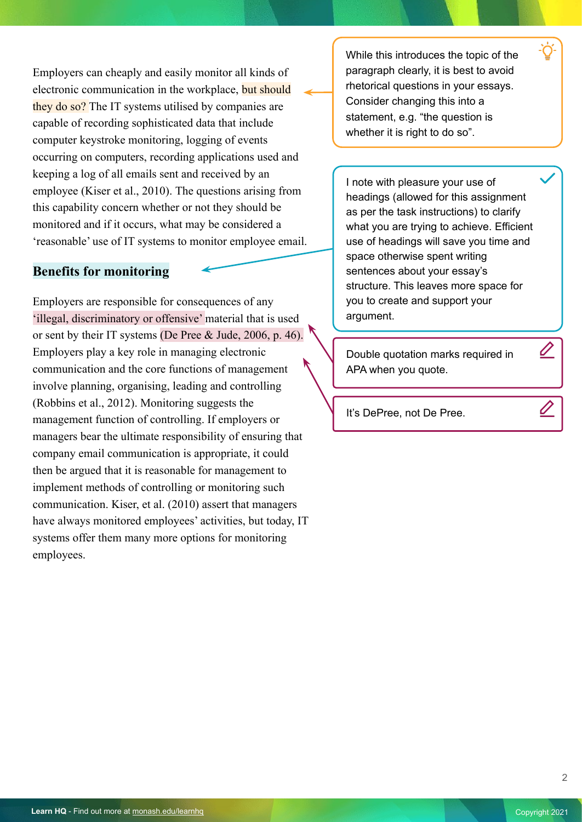Employers can cheaply and easily monitor all kinds of electronic communication in the workplace, but should they do so? The IT systems utilised by companies are capable of recording sophisticated data that include computer keystroke monitoring, logging of events occurring on computers, recording applications used and keeping a log of all emails sent and received by an employee (Kiser et al., 2010). The questions arising from this capability concern whether or not they should be monitored and if it occurs, what may be considered a 'reasonable' use of IT systems to monitor employee email.

#### **Benefits for monitoring**

Employers are responsible for consequences of any 'illegal, discriminatory or offensive' material that is used or sent by their IT systems (De Pree & Jude, 2006, p. 46). Employers play a key role in managing electronic communication and the core functions of management involve planning, organising, leading and controlling (Robbins et al., 2012). Monitoring suggests the management function of controlling. If employers or managers bear the ultimate responsibility of ensuring that company email communication is appropriate, it could then be argued that it is reasonable for management to implement methods of controlling or monitoring such communication. Kiser, et al. (2010) assert that managers have always monitored employees' activities, but today, IT systems offer them many more options for monitoring employees.

While this introduces the topic of the paragraph clearly, it is best to avoid rhetorical questions in your essays. Consider changing this into a statement, e.g. "the question is whether it is right to do so".

I note with pleasure your use of headings (allowed for this assignment as per the task instructions) to clarify what you are trying to achieve. Efficient use of headings will save you time and space otherwise spent writing sentences about your essay's structure. This leaves more space for you to create and support your argument.

Double quotation marks required in APA when you quote.

It's DePree, not De Pree.

 $\overline{\mathscr{L}}$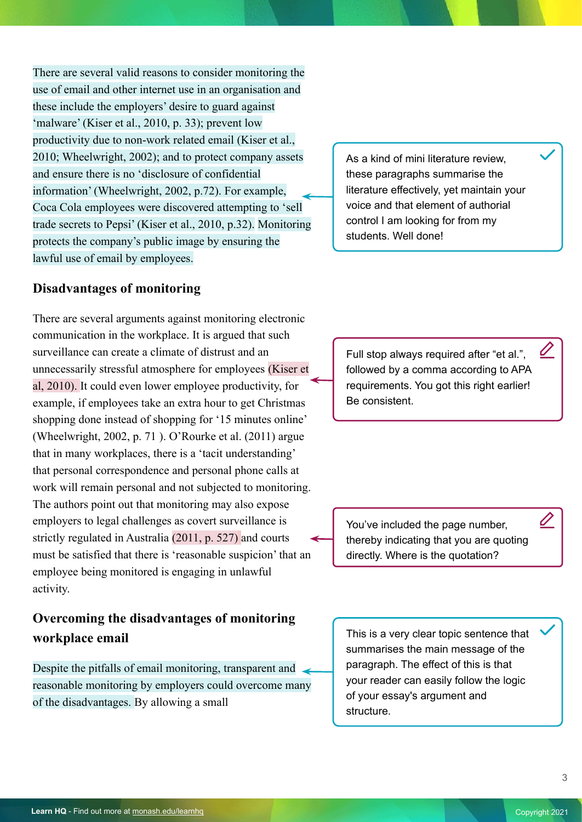There are several valid reasons to consider monitoring the use of email and other internet use in an organisation and these include the employers' desire to guard against 'malware' (Kiser et al., 2010, p. 33); prevent low productivity due to non-work related email (Kiser et al., 2010; Wheelwright, 2002); and to protect company assets and ensure there is no 'disclosure of confidential information' (Wheelwright, 2002, p.72). For example, Coca Cola employees were discovered attempting to 'sell trade secrets to Pepsi' (Kiser et al., 2010, p.32). Monitoring protects the company's public image by ensuring the lawful use of email by employees.

### **Disadvantages of monitoring**

There are several arguments against monitoring electronic communication in the workplace. It is argued that such surveillance can create a climate of distrust and an unnecessarily stressful atmosphere for employees (Kiser et al, 2010). It could even lower employee productivity, for example, if employees take an extra hour to get Christmas shopping done instead of shopping for '15 minutes online' (Wheelwright, 2002, p. 71 ). O'Rourke et al. (2011) argue that in many workplaces, there is a 'tacit understanding' that personal correspondence and personal phone calls at work will remain personal and not subjected to monitoring. The authors point out that monitoring may also expose employers to legal challenges as covert surveillance is strictly regulated in Australia (2011, p. 527) and courts must be satisfied that there is 'reasonable suspicion' that an employee being monitored is engaging in unlawful activity.

## **Overcoming the disadvantages of monitoring workplace email**

Despite the pitfalls of email monitoring, transparent and reasonable monitoring by employers could overcome many of the disadvantages. By allowing a small

As a kind of mini literature review, these paragraphs summarise the literature effectively, yet maintain your voice and that element of authorial control I am looking for from my students. Well done!

Full stop always required after "et al.", followed by a comma according to APA requirements. You got this right earlier! Be consistent.

You've included the page number, thereby indicating that you are quoting directly. Where is the quotation?

This is a very clear topic sentence that summarises the main message of the paragraph. The effect of this is that your reader can easily follow the logic of your essay's argument and structure.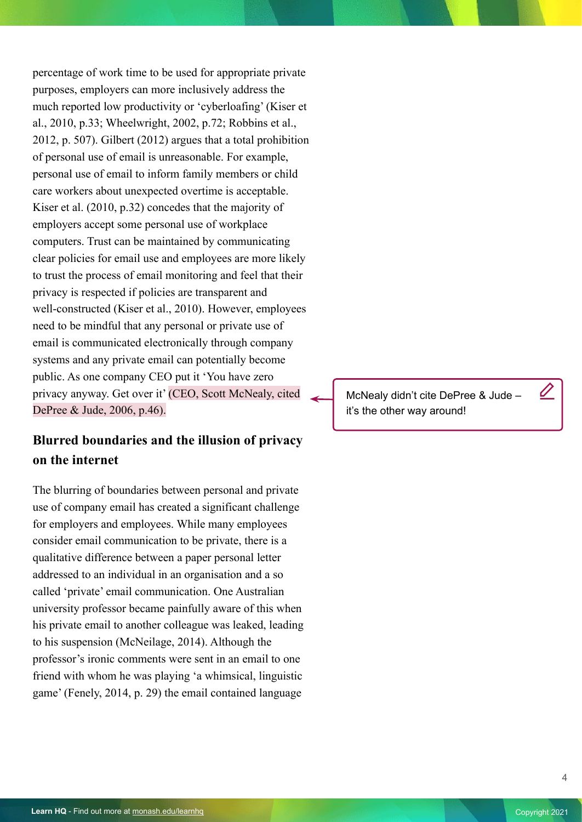percentage of work time to be used for appropriate private purposes, employers can more inclusively address the much reported low productivity or 'cyberloafing' (Kiser et al., 2010, p.33; Wheelwright, 2002, p.72; Robbins et al., 2012, p. 507). Gilbert (2012) argues that a total prohibition of personal use of email is unreasonable. For example, personal use of email to inform family members or child care workers about unexpected overtime is acceptable. Kiser et al. (2010, p.32) concedes that the majority of employers accept some personal use of workplace computers. Trust can be maintained by communicating clear policies for email use and employees are more likely to trust the process of email monitoring and feel that their privacy is respected if policies are transparent and well-constructed (Kiser et al., 2010). However, employees need to be mindful that any personal or private use of email is communicated electronically through company systems and any private email can potentially become public. As one company CEO put it 'You have zero privacy anyway. Get over it' (CEO, Scott McNealy, cited DePree & Jude, 2006, p.46).

### **Blurred boundaries and the illusion of privacy on the internet**

The blurring of boundaries between personal and private use of company email has created a significant challenge for employers and employees. While many employees consider email communication to be private, there is a qualitative difference between a paper personal letter addressed to an individual in an organisation and a so called 'private' email communication. One Australian university professor became painfully aware of this when his private email to another colleague was leaked, leading to his suspension (McNeilage, 2014). Although the professor's ironic comments were sent in an email to one friend with whom he was playing 'a whimsical, linguistic game' (Fenely, 2014, p. 29) the email contained language

McNealy didn't cite DePree & Jude – it's the other way around!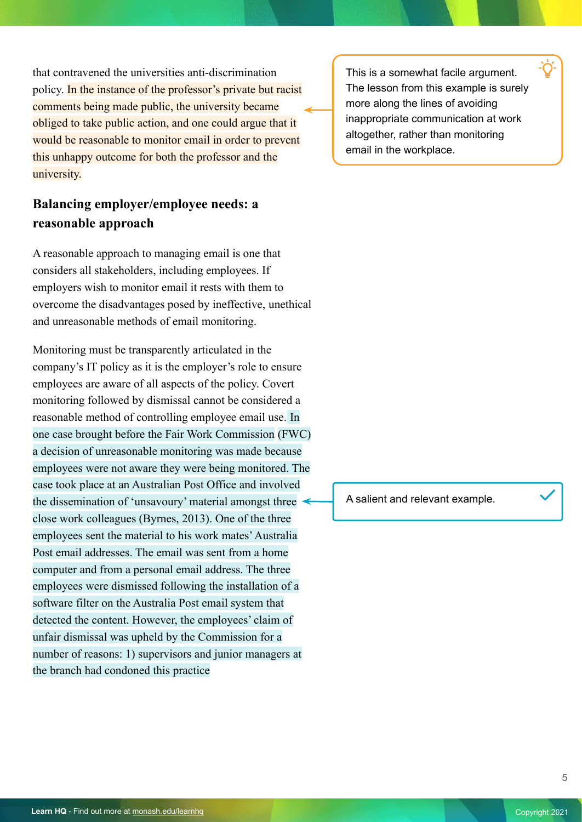that contravened the universities anti-discrimination policy. In the instance of the professor's private but racist comments being made public, the university became obliged to take public action, and one could argue that it would be reasonable to monitor email in order to prevent this unhappy outcome for both the professor and the university.

### **Balancing employer/employee needs: a reasonable approach**

A reasonable approach to managing email is one that considers all stakeholders, including employees. If employers wish to monitor email it rests with them to overcome the disadvantages posed by ineffective, unethical and unreasonable methods of email monitoring.

Monitoring must be transparently articulated in the company's IT policy as it is the employer's role to ensure employees are aware of all aspects of the policy. Covert monitoring followed by dismissal cannot be considered a reasonable method of controlling employee email use. In one case brought before the Fair Work Commission (FWC) a decision of unreasonable monitoring was made because employees were not aware they were being monitored. The case took place at an Australian Post Office and involved the dissemination of 'unsavoury' material amongst three close work colleagues (Byrnes, 2013). One of the three employees sent the material to his work mates' Australia Post email addresses. The email was sent from a home computer and from a personal email address. The three employees were dismissed following the installation of a software filter on the Australia Post email system that detected the content. However, the employees' claim of unfair dismissal was upheld by the Commission for a number of reasons: 1) supervisors and junior managers at the branch had condoned this practice

This is a somewhat facile argument. The lesson from this example is surely more along the lines of avoiding inappropriate communication at work altogether, rather than monitoring email in the workplace.

A salient and relevant example.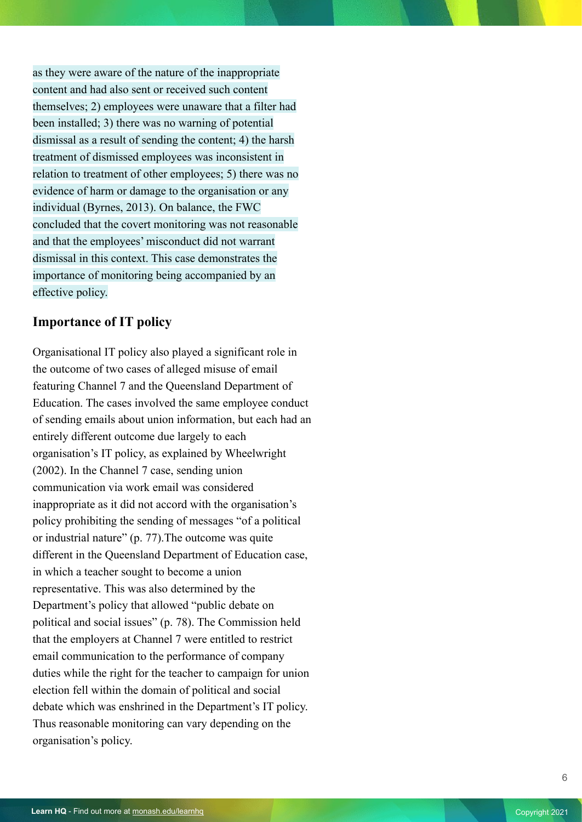as they were aware of the nature of the inappropriate content and had also sent or received such content themselves; 2) employees were unaware that a filter had been installed; 3) there was no warning of potential dismissal as a result of sending the content; 4) the harsh treatment of dismissed employees was inconsistent in relation to treatment of other employees; 5) there was no evidence of harm or damage to the organisation or any individual (Byrnes, 2013). On balance, the FWC concluded that the covert monitoring was not reasonable and that the employees' misconduct did not warrant dismissal in this context. This case demonstrates the importance of monitoring being accompanied by an effective policy.

### **Importance of IT policy**

Organisational IT policy also played a significant role in the outcome of two cases of alleged misuse of email featuring Channel 7 and the Queensland Department of Education. The cases involved the same employee conduct of sending emails about union information, but each had an entirely different outcome due largely to each organisation's IT policy, as explained by Wheelwright (2002). In the Channel 7 case, sending union communication via work email was considered inappropriate as it did not accord with the organisation's policy prohibiting the sending of messages "of a political or industrial nature" (p. 77).The outcome was quite different in the Queensland Department of Education case, in which a teacher sought to become a union representative. This was also determined by the Department's policy that allowed "public debate on political and social issues" (p. 78). The Commission held that the employers at Channel 7 were entitled to restrict email communication to the performance of company duties while the right for the teacher to campaign for union election fell within the domain of political and social debate which was enshrined in the Department's IT policy. Thus reasonable monitoring can vary depending on the organisation's policy.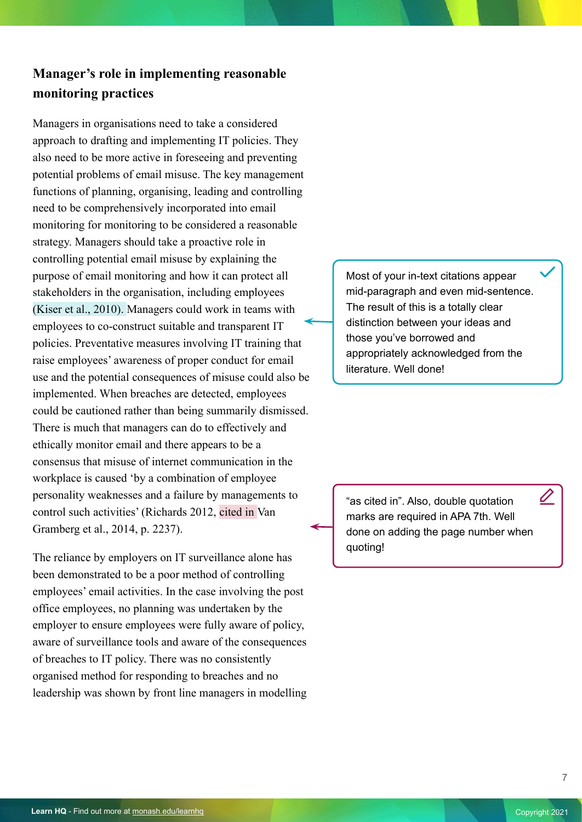## **Manager's role in implementing reasonable monitoring practices**

Managers in organisations need to take a considered approach to drafting and implementing IT policies. They also need to be more active in foreseeing and preventing potential problems of email misuse. The key management functions of planning, organising, leading and controlling need to be comprehensively incorporated into email monitoring for monitoring to be considered a reasonable strategy. Managers should take a proactive role in controlling potential email misuse by explaining the purpose of email monitoring and how it can protect all stakeholders in the organisation, including employees (Kiser et al., 2010). Managers could work in teams with employees to co-construct suitable and transparent IT policies. Preventative measures involving IT training that raise employees' awareness of proper conduct for email use and the potential consequences of misuse could also be implemented. When breaches are detected, employees could be cautioned rather than being summarily dismissed. There is much that managers can do to effectively and ethically monitor email and there appears to be a consensus that misuse of internet communication in the workplace is caused 'by a combination of employee personality weaknesses and a failure by managements to control such activities' (Richards 2012, cited in Van Gramberg et al., 2014, p. 2237).

The reliance by employers on IT surveillance alone has been demonstrated to be a poor method of controlling employees' email activities. In the case involving the post office employees, no planning was undertaken by the employer to ensure employees were fully aware of policy, aware of surveillance tools and aware of the consequences of breaches to IT policy. There was no consistently organised method for responding to breaches and no leadership was shown by front line managers in modelling Most of your in-text citations appear mid-paragraph and even mid-sentence. The result of this is a totally clear distinction between your ideas and those you've borrowed and appropriately acknowledged from the literature. Well done!

"as cited in". Also, double quotation marks are required in APA 7th. Well done on adding the page number when quoting!